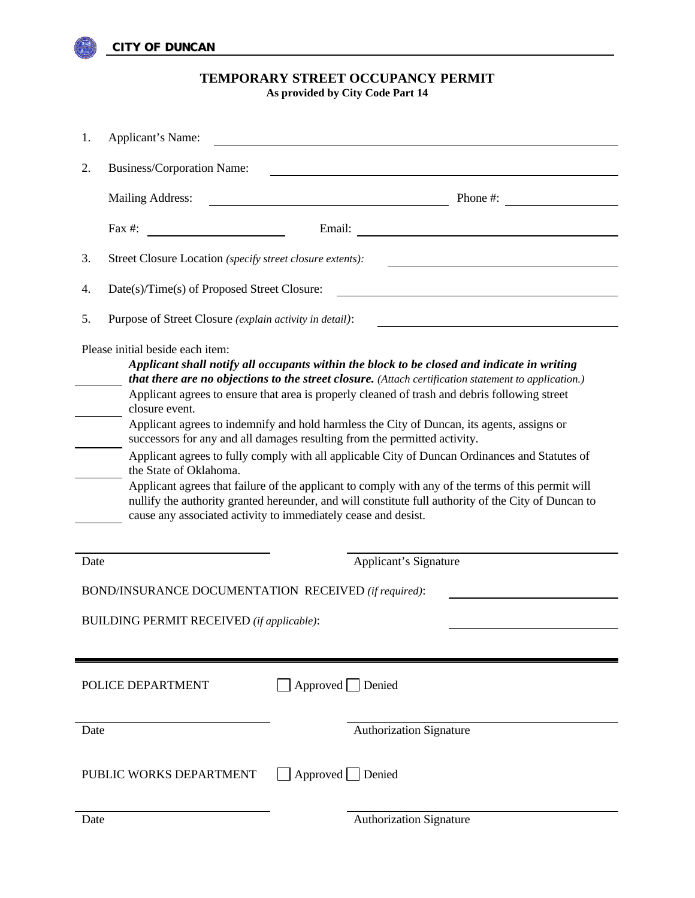

# **TEMPORARY STREET OCCUPANCY PERMIT As provided by City Code Part 14**

| 1.                                                                                                                                                                                                                                                                                                                                                                                                                                                                                                                                                                                                                                                                                                                                                                                                                                                                                                                                               | Applicant's Name:                                         |                 |                                                                                                                                                                                                                                                  |
|--------------------------------------------------------------------------------------------------------------------------------------------------------------------------------------------------------------------------------------------------------------------------------------------------------------------------------------------------------------------------------------------------------------------------------------------------------------------------------------------------------------------------------------------------------------------------------------------------------------------------------------------------------------------------------------------------------------------------------------------------------------------------------------------------------------------------------------------------------------------------------------------------------------------------------------------------|-----------------------------------------------------------|-----------------|--------------------------------------------------------------------------------------------------------------------------------------------------------------------------------------------------------------------------------------------------|
| 2.                                                                                                                                                                                                                                                                                                                                                                                                                                                                                                                                                                                                                                                                                                                                                                                                                                                                                                                                               | Business/Corporation Name:                                |                 |                                                                                                                                                                                                                                                  |
|                                                                                                                                                                                                                                                                                                                                                                                                                                                                                                                                                                                                                                                                                                                                                                                                                                                                                                                                                  | Mailing Address:                                          |                 | Phone #:<br><u>and the community of the community of the community of the community of the community of the community of the community of the community of the community of the community of the community of the community of the community</u> |
|                                                                                                                                                                                                                                                                                                                                                                                                                                                                                                                                                                                                                                                                                                                                                                                                                                                                                                                                                  | Fax #:                                                    |                 |                                                                                                                                                                                                                                                  |
| 3.                                                                                                                                                                                                                                                                                                                                                                                                                                                                                                                                                                                                                                                                                                                                                                                                                                                                                                                                               | Street Closure Location (specify street closure extents): |                 |                                                                                                                                                                                                                                                  |
| 4.                                                                                                                                                                                                                                                                                                                                                                                                                                                                                                                                                                                                                                                                                                                                                                                                                                                                                                                                               | Date(s)/Time(s) of Proposed Street Closure:               |                 |                                                                                                                                                                                                                                                  |
| 5.                                                                                                                                                                                                                                                                                                                                                                                                                                                                                                                                                                                                                                                                                                                                                                                                                                                                                                                                               | Purpose of Street Closure (explain activity in detail):   |                 |                                                                                                                                                                                                                                                  |
| Please initial beside each item:<br>Applicant shall notify all occupants within the block to be closed and indicate in writing<br>that there are no objections to the street closure. (Attach certification statement to application.)<br>Applicant agrees to ensure that area is properly cleaned of trash and debris following street<br>closure event.<br>Applicant agrees to indemnify and hold harmless the City of Duncan, its agents, assigns or<br>successors for any and all damages resulting from the permitted activity.<br>Applicant agrees to fully comply with all applicable City of Duncan Ordinances and Statutes of<br>the State of Oklahoma.<br>Applicant agrees that failure of the applicant to comply with any of the terms of this permit will<br>nullify the authority granted hereunder, and will constitute full authority of the City of Duncan to<br>cause any associated activity to immediately cease and desist. |                                                           |                 |                                                                                                                                                                                                                                                  |
| Date                                                                                                                                                                                                                                                                                                                                                                                                                                                                                                                                                                                                                                                                                                                                                                                                                                                                                                                                             |                                                           |                 | Applicant's Signature                                                                                                                                                                                                                            |
| BOND/INSURANCE DOCUMENTATION RECEIVED (if required):                                                                                                                                                                                                                                                                                                                                                                                                                                                                                                                                                                                                                                                                                                                                                                                                                                                                                             |                                                           |                 |                                                                                                                                                                                                                                                  |
| <b>BUILDING PERMIT RECEIVED</b> (if applicable):                                                                                                                                                                                                                                                                                                                                                                                                                                                                                                                                                                                                                                                                                                                                                                                                                                                                                                 |                                                           |                 |                                                                                                                                                                                                                                                  |
| $\Box$ Approved $\Box$ Denied<br>POLICE DEPARTMENT                                                                                                                                                                                                                                                                                                                                                                                                                                                                                                                                                                                                                                                                                                                                                                                                                                                                                               |                                                           |                 |                                                                                                                                                                                                                                                  |
| Date                                                                                                                                                                                                                                                                                                                                                                                                                                                                                                                                                                                                                                                                                                                                                                                                                                                                                                                                             |                                                           |                 | <b>Authorization Signature</b>                                                                                                                                                                                                                   |
|                                                                                                                                                                                                                                                                                                                                                                                                                                                                                                                                                                                                                                                                                                                                                                                                                                                                                                                                                  | PUBLIC WORKS DEPARTMENT                                   | Approved Denied |                                                                                                                                                                                                                                                  |
| Date                                                                                                                                                                                                                                                                                                                                                                                                                                                                                                                                                                                                                                                                                                                                                                                                                                                                                                                                             |                                                           |                 | <b>Authorization Signature</b>                                                                                                                                                                                                                   |